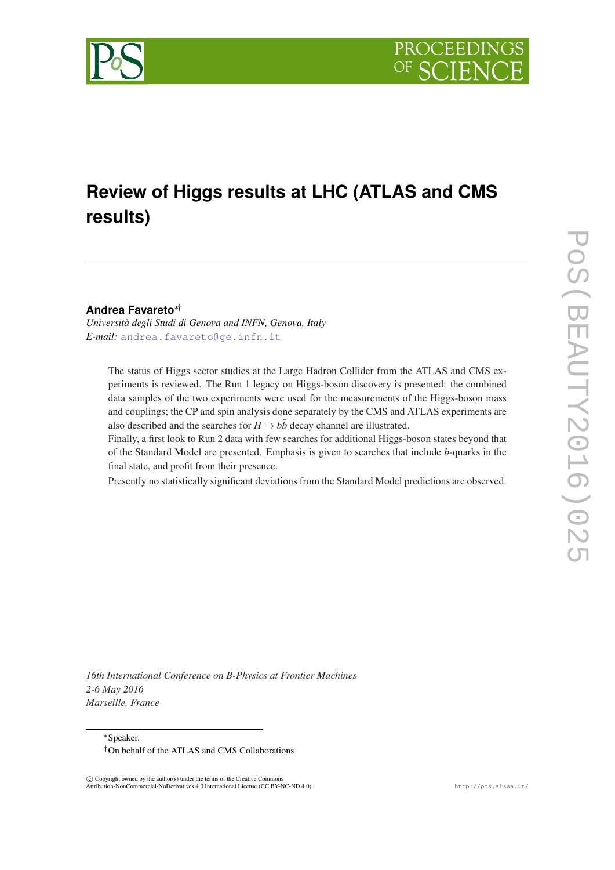

# **Review of Higgs results at LHC (ATLAS and CMS results)**

**Andrea Favareto**∗†

*Università degli Studi di Genova and INFN, Genova, Italy E-mail:* [andrea.favareto@ge.infn.it](mailto:andrea.favareto@ge.infn.it)

The status of Higgs sector studies at the Large Hadron Collider from the ATLAS and CMS experiments is reviewed. The Run 1 legacy on Higgs-boson discovery is presented: the combined data samples of the two experiments were used for the measurements of the Higgs-boson mass and couplings; the CP and spin analysis done separately by the CMS and ATLAS experiments are also described and the searches for  $H \rightarrow b\bar{b}$  decay channel are illustrated.

Finally, a first look to Run 2 data with few searches for additional Higgs-boson states beyond that of the Standard Model are presented. Emphasis is given to searches that include *b*-quarks in the final state, and profit from their presence.

Presently no statistically significant deviations from the Standard Model predictions are observed.

*16th International Conference on B-Physics at Frontier Machines 2-6 May 2016 Marseille, France*

<sup>∗</sup>Speaker.

 $\overline{c}$  Copyright owned by the author(s) under the terms of the Creative Common Attribution-NonCommercial-NoDerivatives 4.0 International License (CC BY-NC-ND 4.0). http://pos.sissa.it/

<sup>†</sup>On behalf of the ATLAS and CMS Collaborations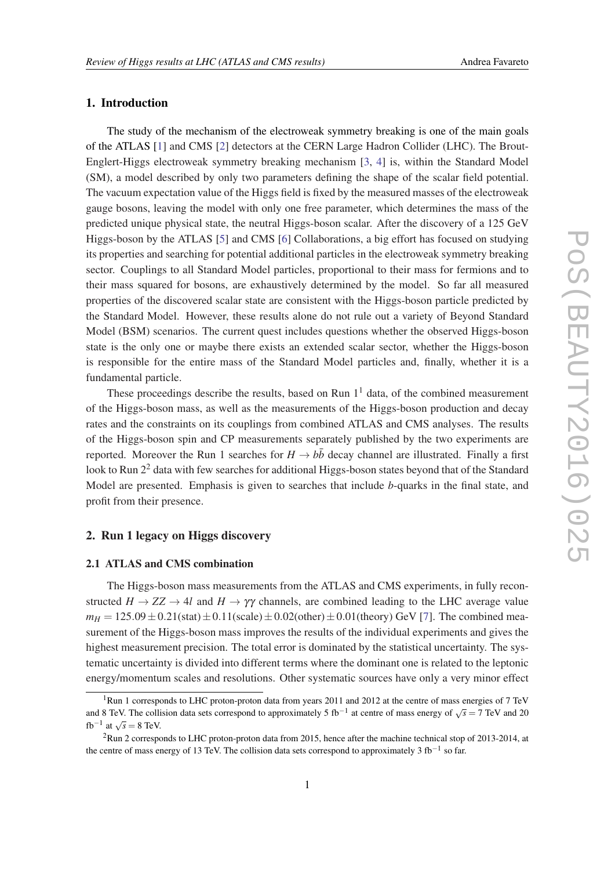# 1. Introduction

The study of the mechanism of the electroweak symmetry breaking is one of the main goals of the ATLAS [\[1\]](#page-7-0) and CMS [[2](#page-7-0)] detectors at the CERN Large Hadron Collider (LHC). The Brout-Englert-Higgs electroweak symmetry breaking mechanism [\[3,](#page-7-0) [4\]](#page-7-0) is, within the Standard Model (SM), a model described by only two parameters defining the shape of the scalar field potential. The vacuum expectation value of the Higgs field is fixed by the measured masses of the electroweak gauge bosons, leaving the model with only one free parameter, which determines the mass of the predicted unique physical state, the neutral Higgs-boson scalar. After the discovery of a 125 GeV Higgs-boson by the ATLAS [[5](#page-7-0)] and CMS [[6](#page-7-0)] Collaborations, a big effort has focused on studying its properties and searching for potential additional particles in the electroweak symmetry breaking sector. Couplings to all Standard Model particles, proportional to their mass for fermions and to their mass squared for bosons, are exhaustively determined by the model. So far all measured properties of the discovered scalar state are consistent with the Higgs-boson particle predicted by the Standard Model. However, these results alone do not rule out a variety of Beyond Standard Model (BSM) scenarios. The current quest includes questions whether the observed Higgs-boson state is the only one or maybe there exists an extended scalar sector, whether the Higgs-boson is responsible for the entire mass of the Standard Model particles and, finally, whether it is a fundamental particle.

These proceedings describe the results, based on Run  $1<sup>1</sup>$  data, of the combined measurement of the Higgs-boson mass, as well as the measurements of the Higgs-boson production and decay rates and the constraints on its couplings from combined ATLAS and CMS analyses. The results of the Higgs-boson spin and CP measurements separately published by the two experiments are reported. Moreover the Run 1 searches for  $H \to b\bar{b}$  decay channel are illustrated. Finally a first look to Run 2<sup>2</sup> data with few searches for additional Higgs-boson states beyond that of the Standard Model are presented. Emphasis is given to searches that include *b*-quarks in the final state, and profit from their presence.

# 2. Run 1 legacy on Higgs discovery

#### 2.1 ATLAS and CMS combination

The Higgs-boson mass measurements from the ATLAS and CMS experiments, in fully reconstructed  $H \to ZZ \to 4l$  and  $H \to \gamma\gamma$  channels, are combined leading to the LHC average value  $m_H = 125.09 \pm 0.21$ (stat) $\pm 0.11$ (scale) $\pm 0.02$ (other) $\pm 0.01$ (theory) GeV [[7](#page-7-0)]. The combined measurement of the Higgs-boson mass improves the results of the individual experiments and gives the highest measurement precision. The total error is dominated by the statistical uncertainty. The systematic uncertainty is divided into different terms where the dominant one is related to the leptonic energy/momentum scales and resolutions. Other systematic sources have only a very minor effect

<sup>&</sup>lt;sup>1</sup>Run 1 corresponds to LHC proton-proton data from years 2011 and 2012 at the centre of mass energies of 7 TeV and 8 TeV. The collision data sets correspond to approximately 5 fb<sup>-1</sup> at centre of mass energy of  $\sqrt{s} = 7$  TeV and 20 and 8 TeV. The collision data sets correspond to approximately 5 fb<sup>-1</sup> at centre of mass energy of  $fb^{-1}$  at  $\sqrt{s} = 8$  TeV.

<sup>2</sup>Run 2 corresponds to LHC proton-proton data from 2015, hence after the machine technical stop of 2013-2014, at the centre of mass energy of 13 TeV. The collision data sets correspond to approximately 3 fb<sup>-1</sup> so far.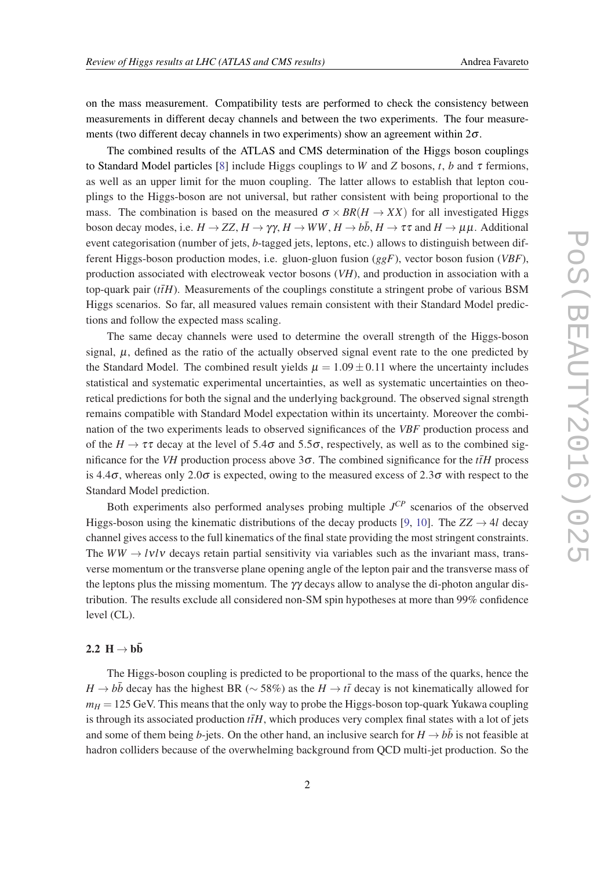on the mass measurement. Compatibility tests are performed to check the consistency between measurements in different decay channels and between the two experiments. The four measurements (two different decay channels in two experiments) show an agreement within  $2\sigma$ .

The combined results of the ATLAS and CMS determination of the Higgs boson couplings to Standard Model particles [\[8\]](#page-7-0) include Higgs couplings to *W* and *Z* bosons, *t*, *b* and  $\tau$  fermions, as well as an upper limit for the muon coupling. The latter allows to establish that lepton couplings to the Higgs-boson are not universal, but rather consistent with being proportional to the mass. The combination is based on the measured  $\sigma \times BR(H \to XX)$  for all investigated Higgs boson decay modes, i.e.  $H \to ZZ$ ,  $H \to \gamma \gamma$ ,  $H \to WW$ ,  $H \to b\bar{b}$ ,  $H \to \tau\tau$  and  $H \to \mu\mu$ . Additional event categorisation (number of jets, *b*-tagged jets, leptons, etc.) allows to distinguish between different Higgs-boson production modes, i.e. gluon-gluon fusion (*ggF*), vector boson fusion (*VBF*), production associated with electroweak vector bosons (*VH*), and production in association with a top-quark pair  $(t\bar{t}H)$ . Measurements of the couplings constitute a stringent probe of various BSM Higgs scenarios. So far, all measured values remain consistent with their Standard Model predictions and follow the expected mass scaling.

The same decay channels were used to determine the overall strength of the Higgs-boson signal,  $\mu$ , defined as the ratio of the actually observed signal event rate to the one predicted by the Standard Model. The combined result yields  $\mu = 1.09 \pm 0.11$  where the uncertainty includes statistical and systematic experimental uncertainties, as well as systematic uncertainties on theoretical predictions for both the signal and the underlying background. The observed signal strength remains compatible with Standard Model expectation within its uncertainty. Moreover the combination of the two experiments leads to observed significances of the *VBF* production process and of the  $H \to \tau \tau$  decay at the level of 5.4 $\sigma$  and 5.5 $\sigma$ , respectively, as well as to the combined significance for the *VH* production process above  $3\sigma$ . The combined significance for the *t* $\bar{t}H$  process is 4.4 $\sigma$ , whereas only 2.0 $\sigma$  is expected, owing to the measured excess of 2.3 $\sigma$  with respect to the Standard Model prediction.

Both experiments also performed analyses probing multiple *J CP* scenarios of the observed Higgs-boson using the kinematic distributions of the decay products [\[9,](#page-7-0) [10](#page-7-0)]. The  $ZZ \rightarrow 4l$  decay channel gives access to the full kinematics of the final state providing the most stringent constraints. The *WW*  $\rightarrow$  *lvlv* decays retain partial sensitivity via variables such as the invariant mass, transverse momentum or the transverse plane opening angle of the lepton pair and the transverse mass of the leptons plus the missing momentum. The  $\gamma\gamma$  decays allow to analyse the di-photon angular distribution. The results exclude all considered non-SM spin hypotheses at more than 99% confidence level (CL).

### 2.2  $H \rightarrow b\bar{b}$

The Higgs-boson coupling is predicted to be proportional to the mass of the quarks, hence the *H* → *b* $\bar{b}$  decay has the highest BR ( $\sim$  58%) as the *H* → *t* $\bar{t}$  decay is not kinematically allowed for  $m<sub>H</sub> = 125$  GeV. This means that the only way to probe the Higgs-boson top-quark Yukawa coupling is through its associated production  $t\bar{t}H$ , which produces very complex final states with a lot of jets and some of them being *b*-jets. On the other hand, an inclusive search for  $H \to b\bar{b}$  is not feasible at hadron colliders because of the overwhelming background from QCD multi-jet production. So the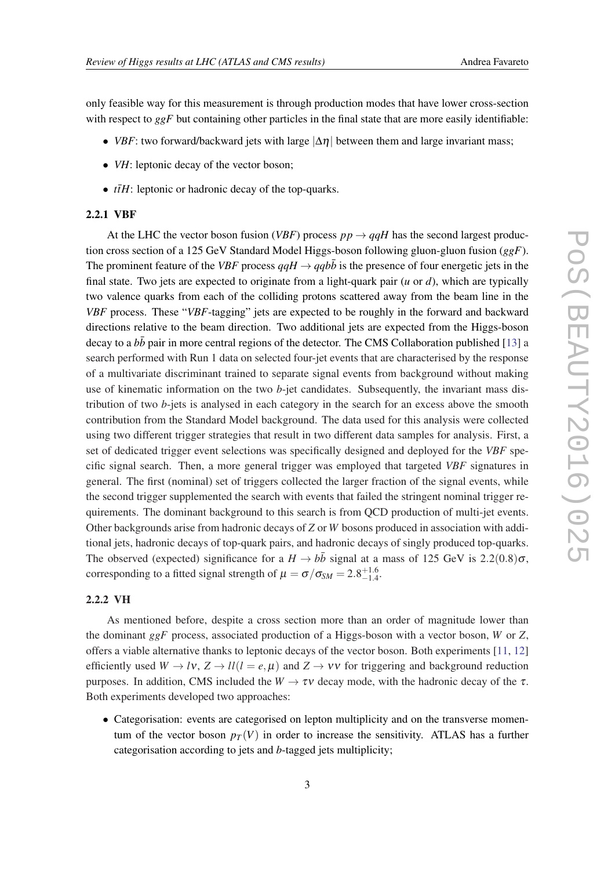only feasible way for this measurement is through production modes that have lower cross-section with respect to *ggF* but containing other particles in the final state that are more easily identifiable:

- *VBF*: two forward/backward jets with large  $|\Delta \eta|$  between them and large invariant mass;
- *VH*: leptonic decay of the vector boson;
- $t\bar{t}H$ : leptonic or hadronic decay of the top-quarks.

#### 2.2.1 VBF

At the LHC the vector boson fusion (*VBF*) process  $pp \rightarrow qqH$  has the second largest production cross section of a 125 GeV Standard Model Higgs-boson following gluon-gluon fusion (*ggF*). The prominent feature of the *VBF* process  $qqH \rightarrow qq b\bar{b}$  is the presence of four energetic jets in the final state. Two jets are expected to originate from a light-quark pair (*u* or *d*), which are typically two valence quarks from each of the colliding protons scattered away from the beam line in the *VBF* process. These "*VBF*-tagging" jets are expected to be roughly in the forward and backward directions relative to the beam direction. Two additional jets are expected from the Higgs-boson decay to a  $b\bar{b}$  pair in more central regions of the detector. The CMS Collaboration published [[13\]](#page-7-0) a search performed with Run 1 data on selected four-jet events that are characterised by the response of a multivariate discriminant trained to separate signal events from background without making use of kinematic information on the two *b*-jet candidates. Subsequently, the invariant mass distribution of two *b*-jets is analysed in each category in the search for an excess above the smooth contribution from the Standard Model background. The data used for this analysis were collected using two different trigger strategies that result in two different data samples for analysis. First, a set of dedicated trigger event selections was specifically designed and deployed for the *VBF* specific signal search. Then, a more general trigger was employed that targeted *VBF* signatures in general. The first (nominal) set of triggers collected the larger fraction of the signal events, while the second trigger supplemented the search with events that failed the stringent nominal trigger requirements. The dominant background to this search is from QCD production of multi-jet events. Other backgrounds arise from hadronic decays of *Z* or *W* bosons produced in association with additional jets, hadronic decays of top-quark pairs, and hadronic decays of singly produced top-quarks. The observed (expected) significance for a  $H \rightarrow b\bar{b}$  signal at a mass of 125 GeV is 2.2(0.8) $\sigma$ , corresponding to a fitted signal strength of  $\mu = \sigma/\sigma_{SM} = 2.8^{+1.6}_{-1.4}$ .

### 2.2.2 VH

As mentioned before, despite a cross section more than an order of magnitude lower than the dominant *ggF* process, associated production of a Higgs-boson with a vector boson, *W* or *Z*, offers a viable alternative thanks to leptonic decays of the vector boson. Both experiments [\[11](#page-7-0), [12](#page-7-0)] efficiently used  $W \to l\nu$ ,  $Z \to l\ell$  *l* = *e*,  $\mu$ ) and  $Z \to \nu\nu$  for triggering and background reduction purposes. In addition, CMS included the  $W \to \tau v$  decay mode, with the hadronic decay of the  $\tau$ . Both experiments developed two approaches:

• Categorisation: events are categorised on lepton multiplicity and on the transverse momentum of the vector boson  $p_T(V)$  in order to increase the sensitivity. ATLAS has a further categorisation according to jets and *b*-tagged jets multiplicity;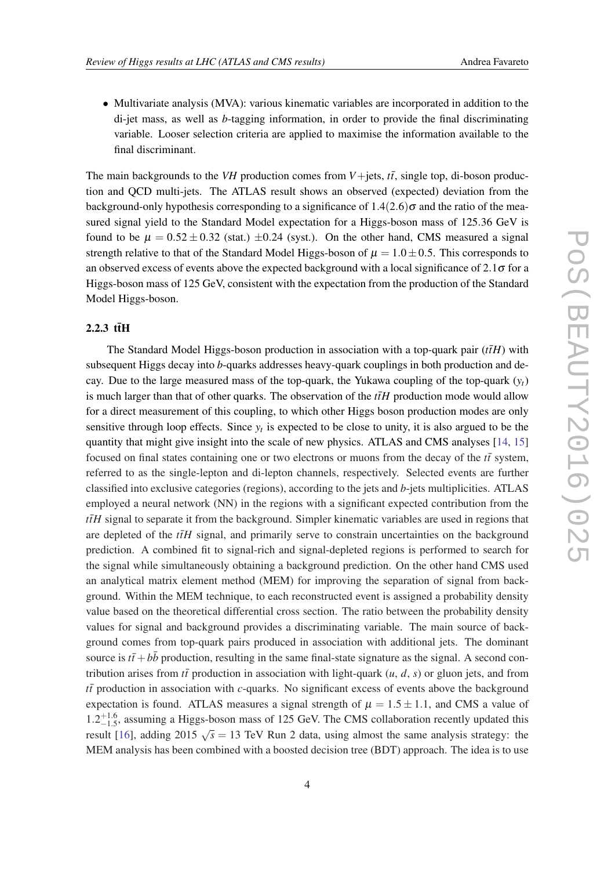• Multivariate analysis (MVA): various kinematic variables are incorporated in addition to the di-jet mass, as well as *b*-tagging information, in order to provide the final discriminating variable. Looser selection criteria are applied to maximise the information available to the final discriminant.

The main backgrounds to the *VH* production comes from *V*+jets,  $t\bar{t}$ , single top, di-boson production and QCD multi-jets. The ATLAS result shows an observed (expected) deviation from the background-only hypothesis corresponding to a significance of  $1.4(2.6)\sigma$  and the ratio of the measured signal yield to the Standard Model expectation for a Higgs-boson mass of 125.36 GeV is found to be  $\mu = 0.52 \pm 0.32$  (stat.)  $\pm 0.24$  (syst.). On the other hand, CMS measured a signal strength relative to that of the Standard Model Higgs-boson of  $\mu = 1.0 \pm 0.5$ . This corresponds to an observed excess of events above the expected background with a local significance of  $2.1\sigma$  for a Higgs-boson mass of 125 GeV, consistent with the expectation from the production of the Standard Model Higgs-boson.

## $2.2.3$  ttH

The Standard Model Higgs-boson production in association with a top-quark pair  $(t\bar{t}H)$  with subsequent Higgs decay into *b*-quarks addresses heavy-quark couplings in both production and decay. Due to the large measured mass of the top-quark, the Yukawa coupling of the top-quark  $(y_t)$ is much larger than that of other quarks. The observation of the  $t\bar{t}H$  production mode would allow for a direct measurement of this coupling, to which other Higgs boson production modes are only sensitive through loop effects. Since  $y_t$  is expected to be close to unity, it is also argued to be the quantity that might give insight into the scale of new physics. ATLAS and CMS analyses [[14,](#page-7-0) [15](#page-7-0)] focused on final states containing one or two electrons or muons from the decay of the  $t\bar{t}$  system, referred to as the single-lepton and di-lepton channels, respectively. Selected events are further classified into exclusive categories (regions), according to the jets and *b*-jets multiplicities. ATLAS employed a neural network (NN) in the regions with a significant expected contribution from the  $t\bar{t}H$  signal to separate it from the background. Simpler kinematic variables are used in regions that are depleted of the  $t\bar{t}H$  signal, and primarily serve to constrain uncertainties on the background prediction. A combined fit to signal-rich and signal-depleted regions is performed to search for the signal while simultaneously obtaining a background prediction. On the other hand CMS used an analytical matrix element method (MEM) for improving the separation of signal from background. Within the MEM technique, to each reconstructed event is assigned a probability density value based on the theoretical differential cross section. The ratio between the probability density values for signal and background provides a discriminating variable. The main source of background comes from top-quark pairs produced in association with additional jets. The dominant source is  $t\bar{t}+b\bar{b}$  production, resulting in the same final-state signature as the signal. A second contribution arises from  $t\bar{t}$  production in association with light-quark (*u*, *d*, *s*) or gluon jets, and from *tt*¯ production in association with *c*-quarks. No significant excess of events above the background expectation is found. ATLAS measures a signal strength of  $\mu = 1.5 \pm 1.1$ , and CMS a value of  $1.2^{+1.6}_{-1.5}$ , assuming a Higgs-boson mass of 125 GeV. The CMS collaboration recently updated this result [[16\]](#page-7-0), adding  $2015 \sqrt{s} = 13$  TeV Run 2 data, using almost the same analysis strategy: the MEM analysis has been combined with a boosted decision tree (BDT) approach. The idea is to use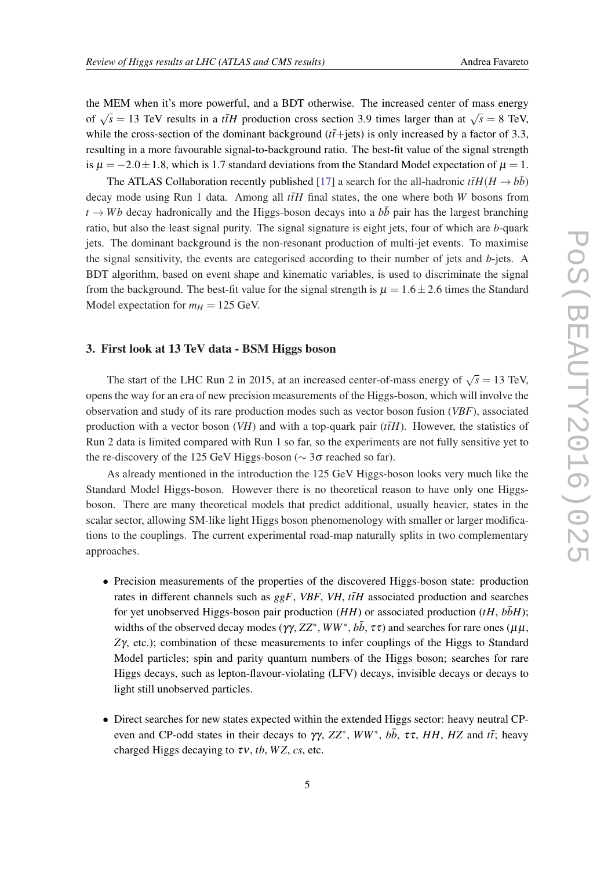the MEM when it's more powerful, and a BDT otherwise. The increased center of mass energy of  $\sqrt{s} = 13$  TeV results in a *t*<sub>H</sub> production cross section 3.9 times larger than at  $\sqrt{s} = 8$  TeV, while the cross-section of the dominant background  $(t\bar{t}+jets)$  is only increased by a factor of 3.3, resulting in a more favourable signal-to-background ratio. The best-fit value of the signal strength is  $\mu = -2.0 \pm 1.8$ , which is 1.7 standard deviations from the Standard Model expectation of  $\mu = 1$ .

The ATLAS Collaboration recently published [[17\]](#page-7-0) a search for the all-hadronic  $t\bar{t}H(H \to b\bar{b})$ decay mode using Run 1 data. Among all  $t\bar{t}H$  final states, the one where both *W* bosons from  $t \rightarrow Wb$  decay hadronically and the Higgs-boson decays into a  $b\bar{b}$  pair has the largest branching ratio, but also the least signal purity. The signal signature is eight jets, four of which are *b*-quark jets. The dominant background is the non-resonant production of multi-jet events. To maximise the signal sensitivity, the events are categorised according to their number of jets and *b*-jets. A BDT algorithm, based on event shape and kinematic variables, is used to discriminate the signal from the background. The best-fit value for the signal strength is  $\mu = 1.6 \pm 2.6$  times the Standard Model expectation for  $m_H = 125$  GeV.

## 3. First look at 13 TeV data - BSM Higgs boson

The start of the LHC Run 2 in 2015, at an increased center-of-mass energy of  $\sqrt{s} = 13$  TeV, opens the way for an era of new precision measurements of the Higgs-boson, which will involve the observation and study of its rare production modes such as vector boson fusion (*VBF*), associated production with a vector boson  $(VH)$  and with a top-quark pair  $(t\bar{t}H)$ . However, the statistics of Run 2 data is limited compared with Run 1 so far, so the experiments are not fully sensitive yet to the re-discovery of the 125 GeV Higgs-boson ( $\sim$  3 $\sigma$  reached so far).

As already mentioned in the introduction the 125 GeV Higgs-boson looks very much like the Standard Model Higgs-boson. However there is no theoretical reason to have only one Higgsboson. There are many theoretical models that predict additional, usually heavier, states in the scalar sector, allowing SM-like light Higgs boson phenomenology with smaller or larger modifications to the couplings. The current experimental road-map naturally splits in two complementary approaches.

- Precision measurements of the properties of the discovered Higgs-boson state: production rates in different channels such as  $g g F$ , *VBF*, *VH*,  $t\bar{t}H$  associated production and searches for yet unobserved Higgs-boson pair production  $(HH)$  or associated production  $(tH, b\bar{b}H)$ ; widths of the observed decay modes ( $\gamma\gamma$ ,  $ZZ^*$ ,  $WW^*$ ,  $b\bar{b}$ ,  $\tau\tau$ ) and searches for rare ones ( $\mu\mu$ , *Z*γ, etc.); combination of these measurements to infer couplings of the Higgs to Standard Model particles; spin and parity quantum numbers of the Higgs boson; searches for rare Higgs decays, such as lepton-flavour-violating (LFV) decays, invisible decays or decays to light still unobserved particles.
- Direct searches for new states expected within the extended Higgs sector: heavy neutral CPeven and CP-odd states in their decays to  $\gamma\gamma$ ,  $ZZ^*$ ,  $WW^*$ ,  $b\bar{b}$ ,  $\tau\tau$ ,  $HH$ ,  $HZ$  and  $t\bar{t}$ ; heavy charged Higgs decaying to  $\tau v$ , *tb*, *WZ*, *cs*, etc.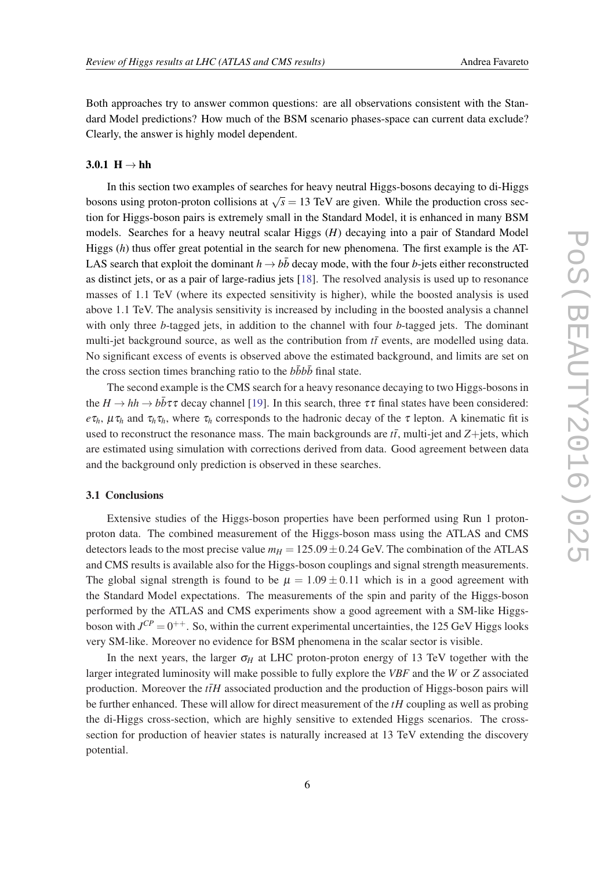Both approaches try to answer common questions: are all observations consistent with the Standard Model predictions? How much of the BSM scenario phases-space can current data exclude? Clearly, the answer is highly model dependent.

#### 3.0.1  $H \rightarrow hh$

In this section two examples of searches for heavy neutral Higgs-bosons decaying to di-Higgs bosons using proton-proton collisions at  $\sqrt{s} = 13$  TeV are given. While the production cross section for Higgs-boson pairs is extremely small in the Standard Model, it is enhanced in many BSM models. Searches for a heavy neutral scalar Higgs (*H*) decaying into a pair of Standard Model Higgs (*h*) thus offer great potential in the search for new phenomena. The first example is the AT-LAS search that exploit the dominant  $h \to b\bar{b}$  decay mode, with the four *b*-jets either reconstructed as distinct jets, or as a pair of large-radius jets [\[18](#page-7-0)]. The resolved analysis is used up to resonance masses of 1.1 TeV (where its expected sensitivity is higher), while the boosted analysis is used above 1.1 TeV. The analysis sensitivity is increased by including in the boosted analysis a channel with only three *b*-tagged jets, in addition to the channel with four *b*-tagged jets. The dominant multi-jet background source, as well as the contribution from  $t\bar{t}$  events, are modelled using data. No significant excess of events is observed above the estimated background, and limits are set on the cross section times branching ratio to the  $b\bar{b}b\bar{b}$  final state.

The second example is the CMS search for a heavy resonance decaying to two Higgs-bosons in the  $H \to hh \to b\bar{b}\tau\tau$  decay channel [[19\]](#page-7-0). In this search, three  $\tau\tau$  final states have been considered: *e*τ*h*,  $\mu \tau_h$  and  $\tau_h \tau_h$ , where  $\tau_h$  corresponds to the hadronic decay of the  $\tau$  lepton. A kinematic fit is used to reconstruct the resonance mass. The main backgrounds are  $t\bar{t}$ , multi-jet and  $Z +$ jets, which are estimated using simulation with corrections derived from data. Good agreement between data and the background only prediction is observed in these searches.

### 3.1 Conclusions

Extensive studies of the Higgs-boson properties have been performed using Run 1 protonproton data. The combined measurement of the Higgs-boson mass using the ATLAS and CMS detectors leads to the most precise value  $m_H = 125.09 \pm 0.24$  GeV. The combination of the ATLAS and CMS results is available also for the Higgs-boson couplings and signal strength measurements. The global signal strength is found to be  $\mu = 1.09 \pm 0.11$  which is in a good agreement with the Standard Model expectations. The measurements of the spin and parity of the Higgs-boson performed by the ATLAS and CMS experiments show a good agreement with a SM-like Higgsboson with  $J^{CP} = 0^{++}$ . So, within the current experimental uncertainties, the 125 GeV Higgs looks very SM-like. Moreover no evidence for BSM phenomena in the scalar sector is visible.

In the next years, the larger  $\sigma_H$  at LHC proton-proton energy of 13 TeV together with the larger integrated luminosity will make possible to fully explore the *VBF* and the *W* or *Z* associated production. Moreover the  $t\bar{t}H$  associated production and the production of Higgs-boson pairs will be further enhanced. These will allow for direct measurement of the *tH* coupling as well as probing the di-Higgs cross-section, which are highly sensitive to extended Higgs scenarios. The crosssection for production of heavier states is naturally increased at 13 TeV extending the discovery potential.